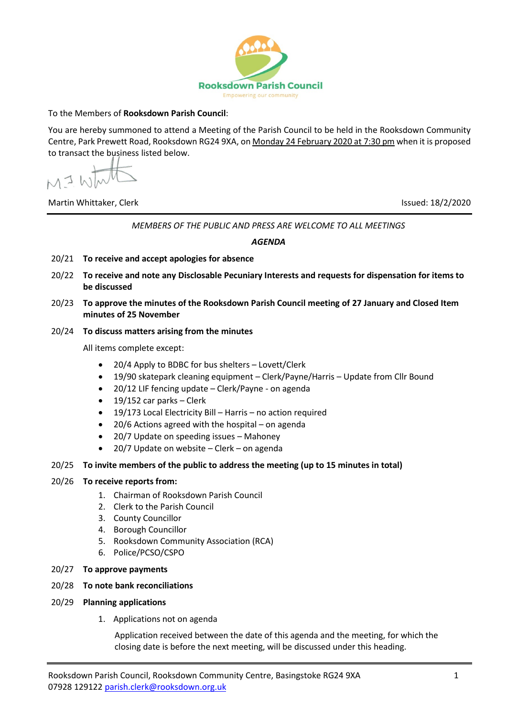

## To the Members of **Rooksdown Parish Council**:

You are hereby summoned to attend a Meeting of the Parish Council to be held in the Rooksdown Community Centre, Park Prewett Road, Rooksdown RG24 9XA, on Monday 24 February 2020 at 7:30 pm when it is proposed to transact the business listed below.

 $MIN$ 

Martin Whittaker, Clerk Issued: 18/2/2020

*MEMBERS OF THE PUBLIC AND PRESS ARE WELCOME TO ALL MEETINGS*

*AGENDA*

- 20/21 **To receive and accept apologies for absence**
- 20/22 **To receive and note any Disclosable Pecuniary Interests and requests for dispensation for items to be discussed**
- 20/23 **To approve the minutes of the Rooksdown Parish Council meeting of 27 January and Closed Item minutes of 25 November**
- 20/24 **To discuss matters arising from the minutes**

All items complete except:

- 20/4 Apply to BDBC for bus shelters Lovett/Clerk
- 19/90 skatepark cleaning equipment Clerk/Payne/Harris Update from Cllr Bound
- 20/12 LIF fencing update Clerk/Payne on agenda
- 19/152 car parks Clerk
- 19/173 Local Electricity Bill Harris no action required
- $20/6$  Actions agreed with the hospital on agenda
- 20/7 Update on speeding issues Mahoney
- 20/7 Update on website Clerk on agenda

## 20/25 **To invite members of the public to address the meeting (up to 15 minutes in total)**

## 20/26 **To receive reports from:**

- 1. Chairman of Rooksdown Parish Council
- 2. Clerk to the Parish Council
- 3. County Councillor
- 4. Borough Councillor
- 5. Rooksdown Community Association (RCA)
- 6. Police/PCSO/CSPO
- 20/27 **To approve payments**
- 20/28 **To note bank reconciliations**
- 20/29 **Planning applications**
	- 1. Applications not on agenda

Application received between the date of this agenda and the meeting, for which the closing date is before the next meeting, will be discussed under this heading.